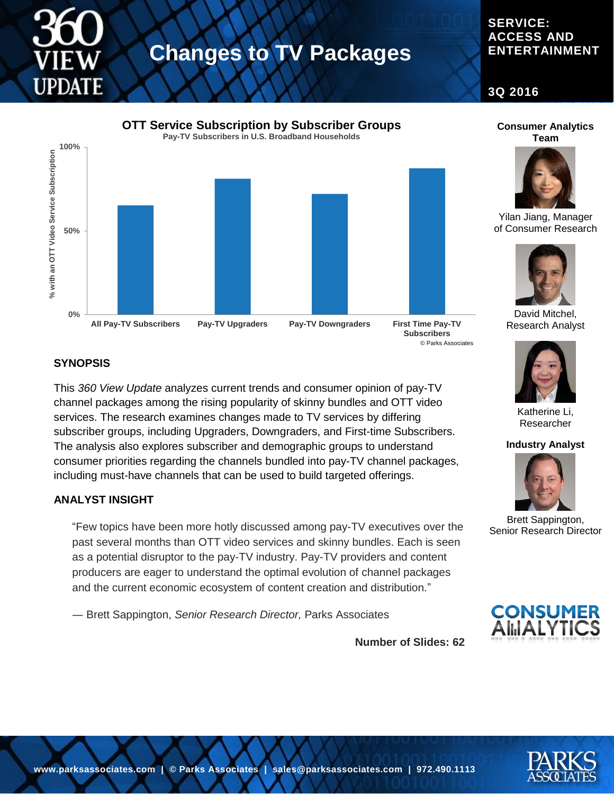# **UPDATE**

# **Changes to TV Packages**

# **SERVICE: ACCESS AND ENTERTAINMENT**

**3Q 2016**



#### **Consumer Analytics Team**



Yilan Jiang, Manager of Consumer Research



David Mitchel, Research Analyst



Katherine Li, Researcher

#### **Industry Analyst**



Brett Sappington, Senior Research Director



**Number of Slides: 62**

## **SYNOPSIS**

This *360 View Update* analyzes current trends and consumer opinion of pay-TV channel packages among the rising popularity of skinny bundles and OTT video services. The research examines changes made to TV services by differing subscriber groups, including Upgraders, Downgraders, and First-time Subscribers. The analysis also explores subscriber and demographic groups to understand consumer priorities regarding the channels bundled into pay-TV channel packages, including must-have channels that can be used to build targeted offerings.

## **ANALYST INSIGHT**

"Few topics have been more hotly discussed among pay-TV executives over the past several months than OTT video services and skinny bundles. Each is seen as a potential disruptor to the pay-TV industry. Pay-TV providers and content producers are eager to understand the optimal evolution of channel packages and the current economic ecosystem of content creation and distribution."

― Brett Sappington, *Senior Research Director,* Parks Associates

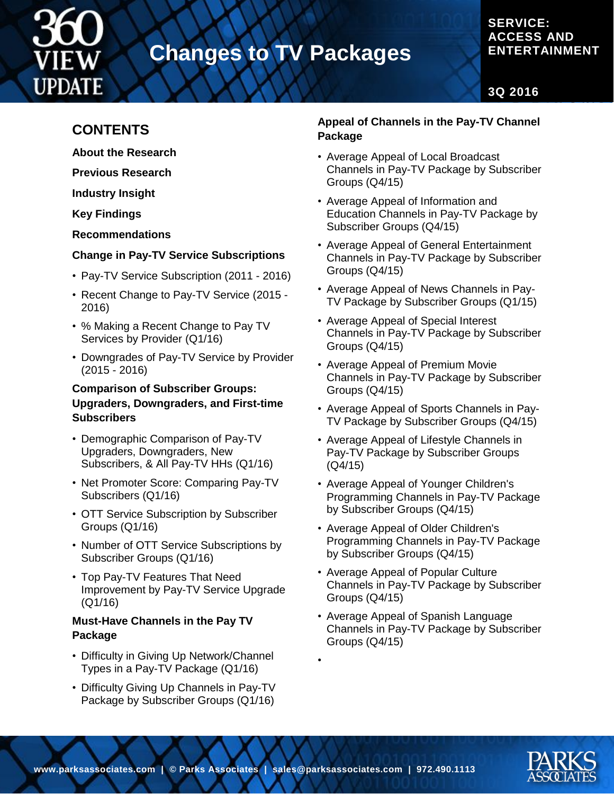

# **Changes to TV Packages**

# **SERVICE: ACCESS AND ENTERTAINMENT**

**3Q 2016**

# **CONTENTS**

**About the Research**

**Previous Research**

**Industry Insight**

**Key Findings**

**Recommendations**

# **Change in Pay-TV Service Subscriptions**

- Pay-TV Service Subscription (2011 2016)
- Recent Change to Pay-TV Service (2015 2016)
- % Making a Recent Change to Pay TV Services by Provider (Q1/16)
- Downgrades of Pay-TV Service by Provider (2015 - 2016)

## **Comparison of Subscriber Groups: Upgraders, Downgraders, and First-time Subscribers**

- Demographic Comparison of Pay-TV Upgraders, Downgraders, New Subscribers, & All Pay-TV HHs (Q1/16)
- Net Promoter Score: Comparing Pay-TV Subscribers (Q1/16)
- OTT Service Subscription by Subscriber Groups (Q1/16)
- Number of OTT Service Subscriptions by Subscriber Groups (Q1/16)
- Top Pay-TV Features That Need Improvement by Pay-TV Service Upgrade (Q1/16)

# **Must-Have Channels in the Pay TV Package**

- Difficulty in Giving Up Network/Channel Types in a Pay-TV Package (Q1/16)
- Difficulty Giving Up Channels in Pay-TV Package by Subscriber Groups (Q1/16)

# **Appeal of Channels in the Pay-TV Channel Package**

- Average Appeal of Local Broadcast Channels in Pay-TV Package by Subscriber Groups (Q4/15)
- Average Appeal of Information and Education Channels in Pay-TV Package by Subscriber Groups (Q4/15)
- Average Appeal of General Entertainment Channels in Pay-TV Package by Subscriber Groups (Q4/15)
- Average Appeal of News Channels in Pay-TV Package by Subscriber Groups (Q1/15)
- Average Appeal of Special Interest Channels in Pay-TV Package by Subscriber Groups (Q4/15)
- Average Appeal of Premium Movie Channels in Pay-TV Package by Subscriber Groups (Q4/15)
- Average Appeal of Sports Channels in Pay-TV Package by Subscriber Groups (Q4/15)
- Average Appeal of Lifestyle Channels in Pay-TV Package by Subscriber Groups (Q4/15)
- Average Appeal of Younger Children's Programming Channels in Pay-TV Package by Subscriber Groups (Q4/15)
- Average Appeal of Older Children's Programming Channels in Pay-TV Package by Subscriber Groups (Q4/15)
- Average Appeal of Popular Culture Channels in Pay-TV Package by Subscriber Groups (Q4/15)
- Average Appeal of Spanish Language Channels in Pay-TV Package by Subscriber Groups (Q4/15)

•